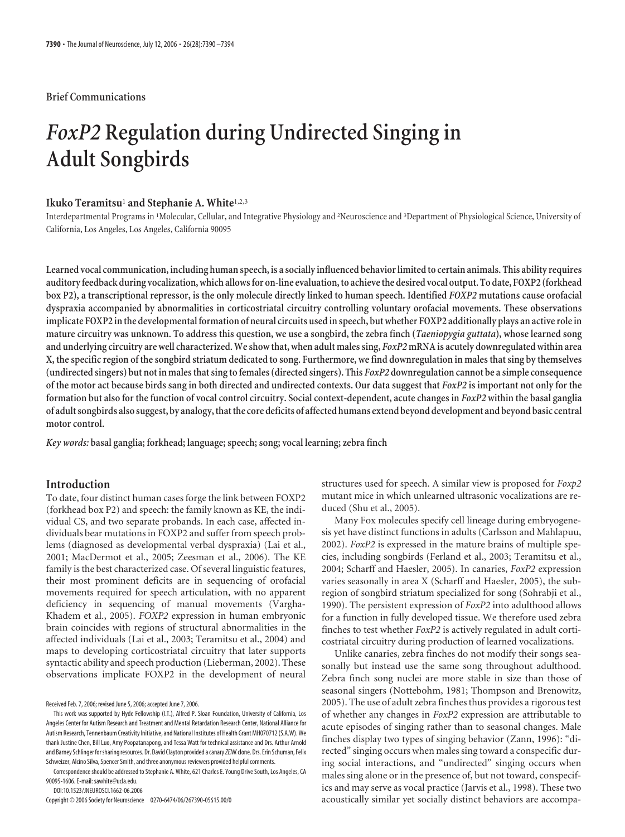## **Brief Communications**

# *FoxP2* **Regulation during Undirected Singing in Adult Songbirds**

# **Ikuko Teramitsu**<sup>1</sup> **and Stephanie A. White**1,2,3

Interdepartmental Programs in <sup>1</sup>Molecular, Cellular, and Integrative Physiology and <sup>2</sup>Neuroscience and <sup>3</sup>Department of Physiological Science, University of California, Los Angeles, Los Angeles, California 90095

Learned vocal communication, including human speech, is a socially influenced behavior limited to certain animals. This ability requires **auditoryfeedback during vocalization, which allowsfor on-line evaluation,to achievethe desired vocal output. To date, FOXP2 (forkhead box P2), a transcriptional repressor, is the only molecule directly linked to human speech. Identified** *FOXP2* **mutations cause orofacial dyspraxia accompanied by abnormalities in corticostriatal circuitry controlling voluntary orofacial movements. These observations implicate FOXP2 inthe developmentalformation of neural circuits used in speech, but whether FOXP2 additionally plays an active role in mature circuitry was unknown. To address this question, we use a songbird, the zebra finch (***Taeniopygia guttata***), whose learned song and underlying circuitry are well characterized. We show that, when adult males sing,** *FoxP2***mRNA is acutely downregulated within area X, the specific region of the songbird striatum dedicated to song. Furthermore, we find downregulation in males that sing by themselves (undirected singers) but not in males that sing to females (directed singers). This** *FoxP2* **downregulation cannot be a simple consequence of the motor act because birds sang in both directed and undirected contexts. Our data suggest that** *FoxP2* **is important not only for the formation but also for the function of vocal control circuitry. Social context-dependent, acute changes in** *FoxP2* **within the basal ganglia of adult songbirds also suggest, by analogy,thatthe core deficits of affected humans extend beyond development and beyond basic central motor control.**

*Key words:* **basal ganglia; forkhead; language; speech; song; vocal learning; zebra finch**

## **Introduction**

To date, four distinct human cases forge the link between FOXP2 (forkhead box P2) and speech: the family known as KE, the individual CS, and two separate probands. In each case, affected individuals bear mutations in FOXP2 and suffer from speech problems (diagnosed as developmental verbal dyspraxia) (Lai et al., 2001; MacDermot et al., 2005; Zeesman et al., 2006). The KE family is the best characterized case. Of several linguistic features, their most prominent deficits are in sequencing of orofacial movements required for speech articulation, with no apparent deficiency in sequencing of manual movements (Vargha-Khadem et al., 2005). *FOXP2* expression in human embryonic brain coincides with regions of structural abnormalities in the affected individuals (Lai et al., 2003; Teramitsu et al., 2004) and maps to developing corticostriatal circuitry that later supports syntactic ability and speech production (Lieberman, 2002). These observations implicate FOXP2 in the development of neural

Received Feb. 7, 2006; revised June 5, 2006; accepted June 7, 2006.

Correspondence should be addressed to Stephanie A. White, 621 Charles E. Young Drive South, Los Angeles, CA 90095-1606. E-mail: sawhite@ucla.edu.

DOI:10.1523/JNEUROSCI.1662-06.2006

Copyright © 2006 Society for Neuroscience 0270-6474/06/267390-05\$15.00/0

structures used for speech. A similar view is proposed for *Foxp2* mutant mice in which unlearned ultrasonic vocalizations are reduced (Shu et al., 2005).

Many Fox molecules specify cell lineage during embryogenesis yet have distinct functions in adults (Carlsson and Mahlapuu, 2002). *FoxP2* is expressed in the mature brains of multiple species, including songbirds (Ferland et al., 2003; Teramitsu et al., 2004; Scharff and Haesler, 2005). In canaries, *FoxP2* expression varies seasonally in area X (Scharff and Haesler, 2005), the subregion of songbird striatum specialized for song (Sohrabji et al., 1990). The persistent expression of *FoxP2* into adulthood allows for a function in fully developed tissue. We therefore used zebra finches to test whether *FoxP2* is actively regulated in adult corticostriatal circuitry during production of learned vocalizations.

Unlike canaries, zebra finches do not modify their songs seasonally but instead use the same song throughout adulthood. Zebra finch song nuclei are more stable in size than those of seasonal singers (Nottebohm, 1981; Thompson and Brenowitz, 2005). The use of adult zebra finches thus provides a rigorous test of whether any changes in *FoxP2* expression are attributable to acute episodes of singing rather than to seasonal changes. Male finches display two types of singing behavior (Zann, 1996): "directed" singing occurs when males sing toward a conspecific during social interactions, and "undirected" singing occurs when males sing alone or in the presence of, but not toward, conspecifics and may serve as vocal practice (Jarvis et al., 1998). These two acoustically similar yet socially distinct behaviors are accompa-

This work was supported by Hyde Fellowship (I.T.), Alfred P. Sloan Foundation, University of California, Los Angeles Center for Autism Research and Treatment and Mental Retardation Research Center, National Alliance for Autism Research, Tennenbaum Creativity Initiative, and National Institutes of Health Grant MH070712 (S.A.W). We thank Justine Chen, Bill Luo, Amy Poopatanapong, and Tessa Watt for technical assistance and Drs. Arthur Arnold and Barney Schlinger forsharing resources. Dr. David Clayton provided a canary*ZENK*clone. Drs. Erin Schuman, Felix Schweizer, Alcino Silva, Spencer Smith, and three anonymous reviewers provided helpful comments.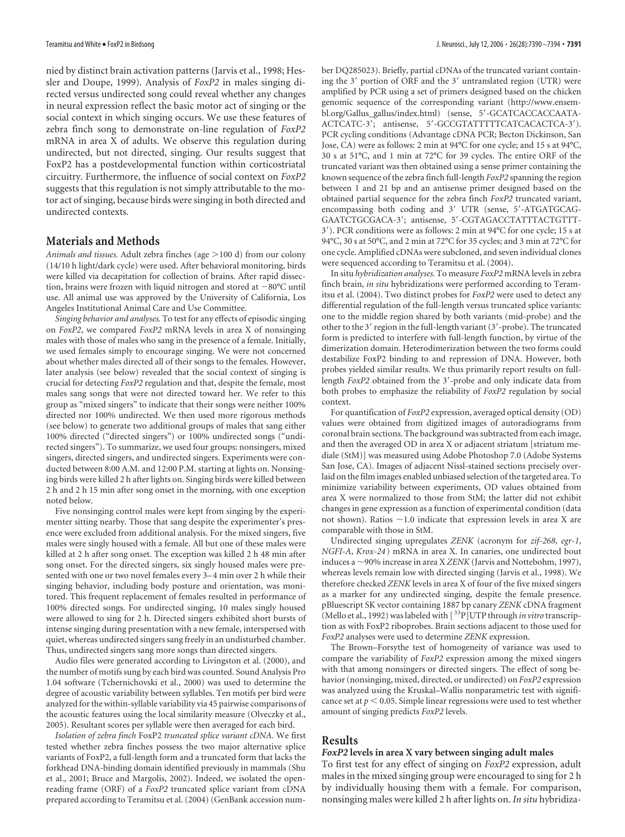nied by distinct brain activation patterns (Jarvis et al., 1998; Hessler and Doupe, 1999). Analysis of *FoxP2* in males singing directed versus undirected song could reveal whether any changes in neural expression reflect the basic motor act of singing or the social context in which singing occurs. We use these features of zebra finch song to demonstrate on-line regulation of *FoxP2* mRNA in area X of adults. We observe this regulation during undirected, but not directed, singing. Our results suggest that FoxP2 has a postdevelopmental function within corticostriatal circuitry. Furthermore, the influence of social context on *FoxP2* suggests that this regulation is not simply attributable to the motor act of singing, because birds were singing in both directed and undirected contexts.

# **Materials and Methods**

Animals and tissues. Adult zebra finches (age >100 d) from our colony (14/10 h light/dark cycle) were used. After behavioral monitoring, birds were killed via decapitation for collection of brains. After rapid dissection, brains were frozen with liquid nitrogen and stored at  $-80^{\circ}$ C until use. All animal use was approved by the University of California, Los Angeles Institutional Animal Care and Use Committee.

*Singing behavior and analyses.* To test for any effects of episodic singing on *FoxP2*, we compared *FoxP2* mRNA levels in area X of nonsinging males with those of males who sang in the presence of a female. Initially, we used females simply to encourage singing. We were not concerned about whether males directed all of their songs to the females. However, later analysis (see below) revealed that the social context of singing is crucial for detecting *FoxP2* regulation and that, despite the female, most males sang songs that were not directed toward her. We refer to this group as "mixed singers" to indicate that their songs were neither 100% directed nor 100% undirected. We then used more rigorous methods (see below) to generate two additional groups of males that sang either 100% directed ("directed singers") or 100% undirected songs ("undirected singers"). To summarize, we used four groups: nonsingers, mixed singers, directed singers, and undirected singers. Experiments were conducted between 8:00 A.M. and 12:00 P.M. starting at lights on. Nonsinging birds were killed 2 h after lights on. Singing birds were killed between 2 h and 2 h 15 min after song onset in the morning, with one exception noted below.

Five nonsinging control males were kept from singing by the experimenter sitting nearby. Those that sang despite the experimenter's presence were excluded from additional analysis. For the mixed singers, five males were singly housed with a female. All but one of these males were killed at 2 h after song onset. The exception was killed 2 h 48 min after song onset. For the directed singers, six singly housed males were presented with one or two novel females every 3– 4 min over 2 h while their singing behavior, including body posture and orientation, was monitored. This frequent replacement of females resulted in performance of 100% directed songs. For undirected singing, 10 males singly housed were allowed to sing for 2 h. Directed singers exhibited short bursts of intense singing during presentation with a new female, interspersed with quiet, whereas undirected singers sang freely in an undisturbed chamber. Thus, undirected singers sang more songs than directed singers.

Audio files were generated according to Livingston et al. (2000), and the number of motifs sung by each bird was counted. Sound Analysis Pro 1.04 software (Tchernichovski et al., 2000) was used to determine the degree of acoustic variability between syllables. Ten motifs per bird were analyzed for the within-syllable variability via 45 pairwise comparisons of the acoustic features using the local similarity measure (Olveczky et al., 2005). Resultant scores per syllable were then averaged for each bird.

*Isolation of zebra finch* FoxP2 *truncated splice variant cDNA.* We first tested whether zebra finches possess the two major alternative splice variants of FoxP2, a full-length form and a truncated form that lacks the forkhead DNA-binding domain identified previously in mammals (Shu et al., 2001; Bruce and Margolis, 2002). Indeed, we isolated the openreading frame (ORF) of a *FoxP2* truncated splice variant from cDNA prepared according to Teramitsu et al. (2004) (GenBank accession number DQ285023). Briefly, partial cDNAs of the truncated variant containing the 3' portion of ORF and the 3' untranslated region (UTR) were amplified by PCR using a set of primers designed based on the chicken genomic sequence of the corresponding variant (http://www.ensembl.org/Gallus\_gallus/index.html) (sense, 5'-GCATCACCACCAATA-ACTCATC-3'; antisense, 5'-GCCGTATTTTTCATCACACTCA-3'). PCR cycling conditions (Advantage cDNA PCR; Becton Dickinson, San Jose, CA) were as follows: 2 min at 94°C for one cycle; and 15 s at 94°C, 30 s at 51°C, and 1 min at 72°C for 39 cycles. The entire ORF of the truncated variant was then obtained using a sense primer containing the known sequence of the zebra finch full-length *FoxP2* spanning the region between 1 and 21 bp and an antisense primer designed based on the obtained partial sequence for the zebra finch *FoxP2* truncated variant, encompassing both coding and 3' UTR (sense, 5'-ATGATGCAG-GAATCTGCGACA-3; antisense, 5-CGTAGACCTATTTACTGTTT-3). PCR conditions were as follows: 2 min at 94°C for one cycle; 15 s at 94°C, 30 s at 50°C, and 2 min at 72°C for 35 cycles; and 3 min at 72°C for one cycle. Amplified cDNAs were subcloned, and seven individual clones were sequenced according to Teramitsu et al. (2004).

In situ *hybridization analyses.* To measure *FoxP2* mRNA levels in zebra finch brain, *in situ* hybridizations were performed according to Teramitsu et al. (2004). Two distinct probes for *FoxP2* were used to detect any differential regulation of the full-length versus truncated splice variants: one to the middle region shared by both variants (mid-probe) and the other to the 3' region in the full-length variant (3'-probe). The truncated form is predicted to interfere with full-length function, by virtue of the dimerization domain. Heterodimerization between the two forms could destabilize FoxP2 binding to and repression of DNA. However, both probes yielded similar results. We thus primarily report results on fulllength *FoxP2* obtained from the 3'-probe and only indicate data from both probes to emphasize the reliability of *FoxP2* regulation by social context.

For quantification of *FoxP2* expression, averaged optical density (OD) values were obtained from digitized images of autoradiograms from coronal brain sections. The background was subtracted from each image, and then the averaged OD in area X or adjacent striatum [striatum mediale (StM)] was measured using Adobe Photoshop 7.0 (Adobe Systems San Jose, CA). Images of adjacent Nissl-stained sections precisely overlaid on the film images enabled unbiased selection of the targeted area. To minimize variability between experiments, OD values obtained from area X were normalized to those from StM; the latter did not exhibit changes in gene expression as a function of experimental condition (data not shown). Ratios  $\sim$ 1.0 indicate that expression levels in area X are comparable with those in StM.

Undirected singing upregulates *ZENK* (acronym for *zif-268*, *egr-1*, *NGFI-A*, *Krox-24* ) mRNA in area X. In canaries, one undirected bout induces a 90% increase in area X *ZENK* (Jarvis and Nottebohm, 1997), whereas levels remain low with directed singing (Jarvis et al., 1998). We therefore checked *ZENK* levels in area X of four of the five mixed singers as a marker for any undirected singing, despite the female presence. pBluescript SK vector containing 1887 bp canary *ZENK* cDNA fragment (Mello et al., 1992) was labeled with [ 33P]UTP through *in vitro* transcription as with FoxP2 riboprobes. Brain sections adjacent to those used for *FoxP2* analyses were used to determine *ZENK* expression.

The Brown–Forsythe test of homogeneity of variance was used to compare the variability of *FoxP2* expression among the mixed singers with that among nonsingers or directed singers. The effect of song behavior (nonsinging, mixed, directed, or undirected) on *FoxP2* expression was analyzed using the Kruskal–Wallis nonparametric test with significance set at  $p < 0.05$ . Simple linear regressions were used to test whether amount of singing predicts *FoxP2* levels.

## **Results**

#### *FoxP2* **levels in area X vary between singing adult males**

To first test for any effect of singing on *FoxP2* expression, adult males in the mixed singing group were encouraged to sing for 2 h by individually housing them with a female. For comparison, nonsinging males were killed 2 h after lights on. *In situ* hybridiza-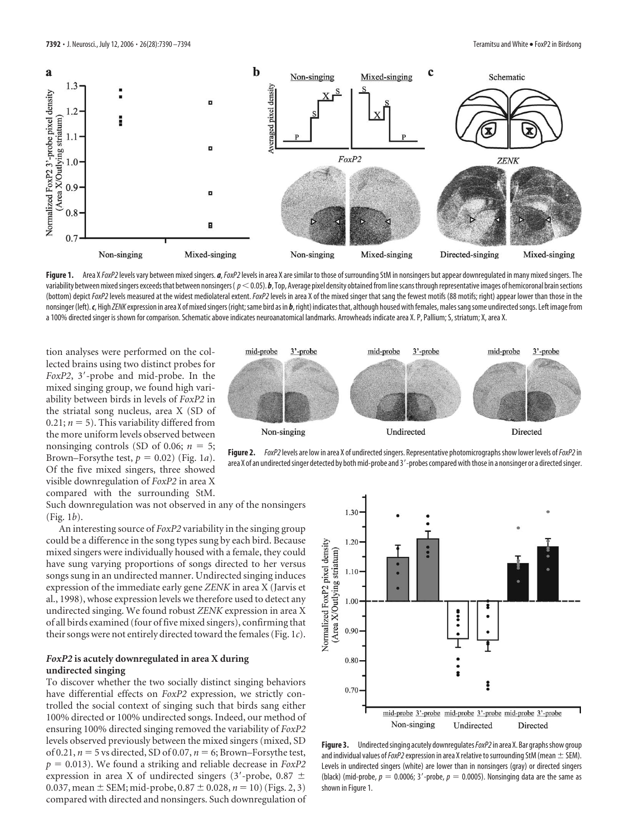

Figure 1. Area X*FoxP2* levels vary between mixed singers. *a*, *FoxP2* levels in area X are similar to those of surrounding StM in nonsingers but appear downregulated in many mixed singers. The variability between mixed singers exceeds that between nonsingers ( $p<0.05$ ). *b*, Top, Average pixel density obtained from line scans through representative images of hemicoronal brain sections (bottom) depict *FoxP2*levels measured at the widest mediolateral extent.*FoxP2*levels in area X of the mixed singer that sang the fewest motifs (88 motifs; right) appear lower than those in the nonsinger (left). c, High *ZENK* expression in area X of mixed singers (right; same bird as in b, right) indicates that, although housed with females, males sang some undirected songs. Left image from a 100% directed singer is shown for comparison. Schematic above indicates neuroanatomical landmarks. Arrowheads indicate area X. P, Pallium; S, striatum; X, area X.

tion analyses were performed on the collected brains using two distinct probes for *FoxP2*, 3'-probe and mid-probe. In the mixed singing group, we found high variability between birds in levels of *FoxP2* in the striatal song nucleus, area X (SD of 0.21;  $n = 5$ ). This variability differed from the more uniform levels observed between nonsinging controls (SD of 0.06;  $n = 5$ ; Brown–Forsythe test,  $p = 0.02$ ) (Fig. 1*a*). Of the five mixed singers, three showed visible downregulation of *FoxP2* in area X compared with the surrounding StM.

Such downregulation was not observed in any of the nonsingers (Fig. 1*b*).

An interesting source of *FoxP2* variability in the singing group could be a difference in the song types sung by each bird. Because mixed singers were individually housed with a female, they could have sung varying proportions of songs directed to her versus songs sung in an undirected manner. Undirected singing induces expression of the immediate early gene *ZENK* in area X (Jarvis et al., 1998), whose expression levels we therefore used to detect any undirected singing. We found robust *ZENK* expression in area X of all birds examined (four of five mixed singers), confirming that their songs were not entirely directed toward the females (Fig. 1*c*).

## *FoxP2* **is acutely downregulated in area X during undirected singing**

To discover whether the two socially distinct singing behaviors have differential effects on *FoxP2* expression, we strictly controlled the social context of singing such that birds sang either 100% directed or 100% undirected songs. Indeed, our method of ensuring 100% directed singing removed the variability of *FoxP2* levels observed previously between the mixed singers (mixed, SD of 0.21,  $n = 5$  vs directed, SD of 0.07,  $n = 6$ ; Brown–Forsythe test,  $p = 0.013$ ). We found a striking and reliable decrease in *FoxP2* expression in area X of undirected singers (3'-probe, 0.87  $\pm$ 0.037, mean  $\pm$  SEM; mid-probe, 0.87  $\pm$  0.028,  $n = 10$ ) (Figs. 2, 3) compared with directed and nonsingers. Such downregulation of



Figure 2. *FoxP2* levels are low in area X of undirected singers. Representative photomicrographs show lower levels of *FoxP2* in area X of an undirected singer detected by both mid-probe and 3'-probes compared with those in a nonsinger or a directed singer.



**Figure 3.** Undirected singing acutely downregulates *FoxP2* in area X. Bar graphs show group and individual values of  $FoxP2$  expression in area X relative to surrounding StM (mean  $\pm$  SEM). Levels in undirected singers (white) are lower than in nonsingers (gray) or directed singers (black) (mid-probe,  $p = 0.0006$ ; 3'-probe,  $p = 0.0005$ ). Nonsinging data are the same as shown in Figure 1.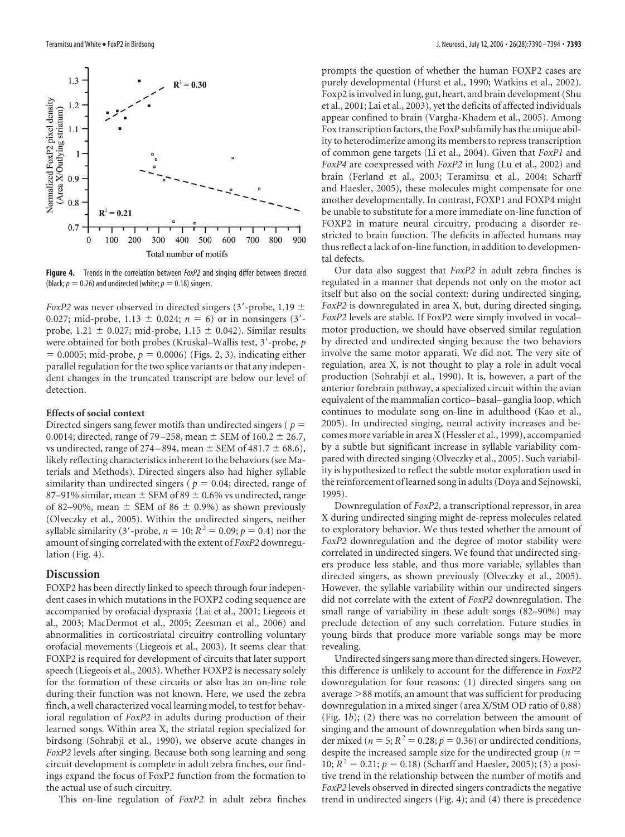

**Figure 4.** Trends in the correlation between *FoxP2* and singing differ between directed (black;  $p = 0.26$ ) and undirected (white;  $p = 0.18$ ) singers.

*FoxP2* was never observed in directed singers (3'-probe, 1.19  $\pm$ 0.027; mid-probe, 1.13  $\pm$  0.024;  $n = 6$ ) or in nonsingers (3'probe, 1.21  $\pm$  0.027; mid-probe, 1.15  $\pm$  0.042). Similar results were obtained for both probes (Kruskal–Wallis test, 3'-probe, p  $= 0.0005$ ; mid-probe,  $p = 0.0006$ ) (Figs. 2, 3), indicating either parallel regulation for the two splice variants or that any independent changes in the truncated transcript are below our level of detection.

## **Effects of social context**

Directed singers sang fewer motifs than undirected singers ( *p* 0.0014; directed, range of 79–258, mean  $\pm$  SEM of 160.2  $\pm$  26.7, vs undirected, range of 274–894, mean  $\pm$  SEM of 481.7  $\pm$  68.6), likely reflecting characteristics inherent to the behaviors (see Materials and Methods). Directed singers also had higher syllable similarity than undirected singers ( $p = 0.04$ ; directed, range of 87–91% similar, mean  $\pm$  SEM of 89  $\pm$  0.6% vs undirected, range of 82–90%, mean  $\pm$  SEM of 86  $\pm$  0.9%) as shown previously (Olveczky et al., 2005). Within the undirected singers, neither syllable similarity (3'-probe,  $n = 10$ ;  $R^2 = 0.09$ ;  $p = 0.4$ ) nor the amount of singing correlated with the extent of *FoxP2* downregulation (Fig. 4).

## **Discussion**

FOXP2 has been directly linked to speech through four independent cases in which mutations in the FOXP2 coding sequence are accompanied by orofacial dyspraxia (Lai et al., 2001; Liegeois et al., 2003; MacDermot et al., 2005; Zeesman et al., 2006) and abnormalities in corticostriatal circuitry controlling voluntary orofacial movements (Liegeois et al., 2003). It seems clear that FOXP2 is required for development of circuits that later support speech (Liegeois et al., 2003). Whether FOXP2 is necessary solely for the formation of these circuits or also has an on-line role during their function was not known. Here, we used the zebra finch, a well characterized vocal learning model, to test for behavioral regulation of *FoxP2* in adults during production of their learned songs. Within area X, the striatal region specialized for birdsong (Sohrabji et al., 1990), we observe acute changes in *FoxP2* levels after singing. Because both song learning and song circuit development is complete in adult zebra finches, our findings expand the focus of FoxP2 function from the formation to the actual use of such circuitry.

This on-line regulation of *FoxP2* in adult zebra finches

prompts the question of whether the human FOXP2 cases are purely developmental (Hurst et al., 1990; Watkins et al., 2002). Foxp2 is involved in lung, gut, heart, and brain development (Shu et al., 2001; Lai et al., 2003), yet the deficits of affected individuals appear confined to brain (Vargha-Khadem et al., 2005). Among Fox transcription factors, the FoxP subfamily has the unique ability to heterodimerize among its members to repress transcription of common gene targets (Li et al., 2004). Given that *FoxP1* and *FoxP4* are coexpressed with *FoxP2* in lung (Lu et al., 2002) and brain (Ferland et al., 2003; Teramitsu et al., 2004; Scharff and Haesler, 2005), these molecules might compensate for one another developmentally. In contrast, FOXP1 and FOXP4 might be unable to substitute for a more immediate on-line function of FOXP2 in mature neural circuitry, producing a disorder restricted to brain function. The deficits in affected humans may thus reflect a lack of on-line function, in addition to developmental defects.

Our data also suggest that *FoxP2* in adult zebra finches is regulated in a manner that depends not only on the motor act itself but also on the social context: during undirected singing, *FoxP2* is downregulated in area X, but, during directed singing, *FoxP2* levels are stable. If FoxP2 were simply involved in vocal– motor production, we should have observed similar regulation by directed and undirected singing because the two behaviors involve the same motor apparati. We did not. The very site of regulation, area X, is not thought to play a role in adult vocal production (Sohrabji et al., 1990). It is, however, a part of the anterior forebrain pathway, a specialized circuit within the avian equivalent of the mammalian cortico– basal– ganglia loop, which continues to modulate song on-line in adulthood (Kao et al., 2005). In undirected singing, neural activity increases and becomes more variable in area X (Hessler et al., 1999), accompanied by a subtle but significant increase in syllable variability compared with directed singing (Olveczky et al., 2005). Such variability is hypothesized to reflect the subtle motor exploration used in the reinforcement of learned song in adults (Doya and Sejnowski, 1995).

Downregulation of *FoxP2*, a transcriptional repressor, in area X during undirected singing might de-repress molecules related to exploratory behavior. We thus tested whether the amount of *FoxP2* downregulation and the degree of motor stability were correlated in undirected singers. We found that undirected singers produce less stable, and thus more variable, syllables than directed singers, as shown previously (Olveczky et al., 2005). However, the syllable variability within our undirected singers did not correlate with the extent of *FoxP2* downregulation. The small range of variability in these adult songs (82–90%) may preclude detection of any such correlation. Future studies in young birds that produce more variable songs may be more revealing.

Undirected singers sang more than directed singers. However, this difference is unlikely to account for the difference in *FoxP2* downregulation for four reasons: (1) directed singers sang on average  $>88$  motifs, an amount that was sufficient for producing downregulation in a mixed singer (area X/StM OD ratio of 0.88) (Fig. 1*b*); (2) there was no correlation between the amount of singing and the amount of downregulation when birds sang under mixed ( $n = 5$ ;  $R^2 = 0.28$ ;  $p = 0.36$ ) or undirected conditions, despite the increased sample size for the undirected group (*n* 10;  $R^2 = 0.21$ ;  $p = 0.18$ ) (Scharff and Haesler, 2005); (3) a positive trend in the relationship between the number of motifs and *FoxP2* levels observed in directed singers contradicts the negative trend in undirected singers (Fig. 4); and (4) there is precedence